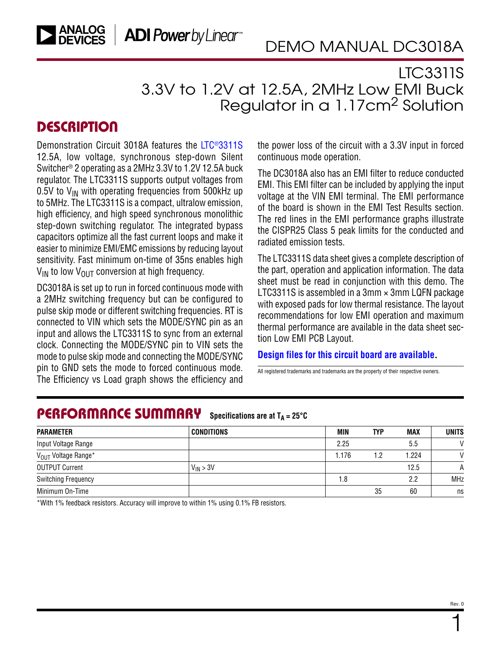## LTC3311S 3.3V to 1.2V at 12.5A, 2MHz Low EMI Buck Regulator in a 1.17cm2 Solution

### **DESCRIPTION**

Demonstration Circuit 3018A features the [LTC®3311S](https://www.analog.com/LTC3311S?doc=DC3018A.pdf) 12.5A, low voltage, synchronous step-down Silent Switcher® 2 operating as a 2MHz 3.3V to 1.2V 12.5A buck regulator. The LTC3311S supports output voltages from 0.5V to  $V_{IN}$  with operating frequencies from 500kHz up to 5MHz. The LTC3311S is a compact, ultralow emission, high efficiency, and high speed synchronous monolithic step-down switching regulator. The integrated bypass capacitors optimize all the fast current loops and make it easier to minimize EMI/EMC emissions by reducing layout sensitivity. Fast minimum on-time of 35ns enables high  $V_{IN}$  to low  $V_{OIII}$  conversion at high frequency.

DC3018A is set up to run in forced continuous mode with a 2MHz switching frequency but can be configured to pulse skip mode or different switching frequencies. RT is connected to VIN which sets the MODE/SYNC pin as an input and allows the LTC3311S to sync from an external clock. Connecting the MODE/SYNC pin to VIN sets the mode to pulse skip mode and connecting the MODE/SYNC pin to GND sets the mode to forced continuous mode. The Efficiency vs Load graph shows the efficiency and

the power loss of the circuit with a 3.3V input in forced continuous mode operation.

The DC3018A also has an EMI filter to reduce conducted EMI. This EMI filter can be included by applying the input voltage at the VIN EMI terminal. The EMI performance of the board is shown in the [EMI Test Results](#page-5-0) section. The red lines in the EMI performance graphs illustrate the CISPR25 Class 5 peak limits for the conducted and radiated emission tests.

The LTC3311S data sheet gives a complete description of the part, operation and application information. The data sheet must be read in conjunction with this demo. The LTC3311S is assembled in a  $3$ mm  $\times$  3mm LQFN package with exposed pads for low thermal resistance. The layout recommendations for low EMI operation and maximum thermal performance are available in the data sheet section Low EMI PCB Layout.

#### **[Design files for this circuit board are available](https://www.analog.com/en/design-center/evaluation-hardware-and-software/evaluation-boards-kits/DC3018A.html#eb-documentation?doc=DC3018A.pdf).**

All registered trademarks and trademarks are the property of their respective owners.

#### PERFORMANCE SUMMARY **Specifications are at**  $T_A = 25^\circ C$

| <b>PARAMETER</b>                | <b>CONDITIONS</b> | MIN  | TYP | <b>MAX</b> | <b>UNITS</b> |
|---------------------------------|-------------------|------|-----|------------|--------------|
| Input Voltage Range             |                   | 2.25 |     | 5.5        | $\mathsf{V}$ |
| V <sub>OUT</sub> Voltage Range* |                   | .176 | 1.2 | 1.224      | $\mathsf{V}$ |
| <b>OUTPUT Current</b>           | $V_{IN}$ > 3V     |      |     | 12.5       | A            |
| <b>Switching Frequency</b>      |                   | 1.8  |     | 2.2        | <b>MHz</b>   |
| Minimum On-Time                 |                   |      | 35  | 60         | ns           |

\*With 1% feedback resistors. Accuracy will improve to within 1% using 0.1% FB resistors.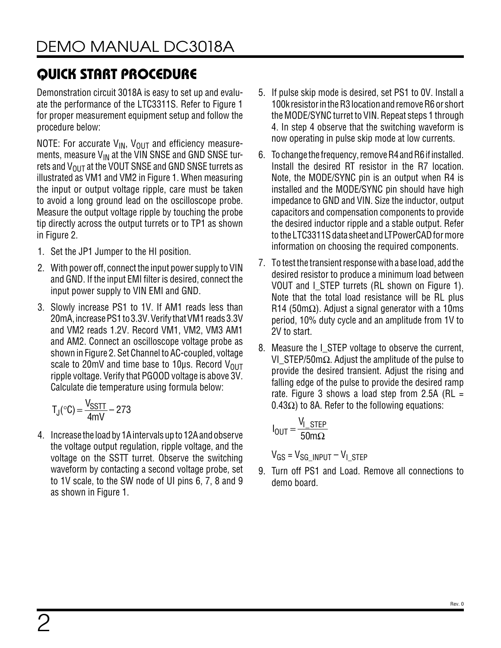# QUICK START PROCEDURE

Demonstration circuit 3018A is easy to set up and evaluate the performance of the LTC3311S. Refer to [Figure 1](#page-2-0)  for proper measurement equipment setup and follow the procedure below:

NOTE: For accurate  $V_{IN}$ ,  $V_{OUT}$  and efficiency measurements, measure  $V_{IN}$  at the VIN SNSE and GND SNSE turrets and  $V_{OIII}$  at the VOUT SNSE and GND SNSE turrets as illustrated as VM1 and VM2 in [Figure 1](#page-2-0). When measuring the input or output voltage ripple, care must be taken to avoid a long ground lead on the oscilloscope probe. Measure the output voltage ripple by touching the probe tip directly across the output turrets or to TP1 as shown in [Figure 2](#page-2-1).

- 1. Set the JP1 Jumper to the HI position.
- 2. With power off, connect the input power supply to VIN and GND. If the input EMI filter is desired, connect the input power supply to VIN EMI and GND.
- 3. Slowly increase PS1 to 1V. If AM1 reads less than 20mA, increasePS1 to 3.3V. VerifythatVM1 reads 3.3V and VM2 reads 1.2V. Record VM1, VM2, VM3 AM1 and AM2. Connect an oscilloscope voltage probe as shown in [Figure 2.](#page-2-1) Set Channel to AC-coupled, voltage scale to 20mV and time base to 10 $\mu$ s. Record V<sub>OUT</sub> ripple voltage. Verify that PGOOD voltage is above 3V. Calculate die temperature using formula below:

$$
T_J({}^\circ C) = \frac{V_{SSTT}}{4mV} - 273
$$

4. Increase the loadby 1Aintervalsupto 12Aandobserve the voltage output regulation, ripple voltage, and the voltage on the SSTT turret. Observe the switching waveform by contacting a second voltage probe, set to 1V scale, to the SW node of UI pins 6, 7, 8 and 9 as shown in [Figure 1](#page-2-0).

- 5. If pulse skip mode is desired, set PS1 to 0V. Install a 100k resistor in the R3 location and remove R6 or short the MODE/SYNC turret to VIN. Repeat steps 1 through 4. In step 4 observe that the switching waveform is now operating in pulse skip mode at low currents.
- 6. To change the frequency, remove R4 and R6 if installed. Install the desired RT resistor in the R7 location. Note, the MODE/SYNC pin is an output when R4 is installed and the MODE/SYNC pin should have high impedance to GND and VIN. Size the inductor, output capacitors and compensation components to provide the desired inductor ripple and a stable output. Refer to the LTC3311S data sheet and LTPowerCAD for more information on choosing the required components.
- 7. To test the transient response with a base load, add the desired resistor to produce a minimum load between VOUT and I STEP turrets (RL shown on [Figure 1](#page-2-0)). Note that the total load resistance will be RL plus R14 (50m $\Omega$ ). Adjust a signal generator with a 10ms period, 10% duty cycle and an amplitude from 1V to 2V to start.
- 8. Measure the I STEP voltage to observe the current, VI\_STEP/50mΩ. Adjust the amplitude of the pulse to provide the desired transient. Adjust the rising and falling edge of the pulse to provide the desired ramp rate. Figure 3 shows a load step from 2.5A (RL  $=$  $0.43\Omega$ ) to 8A. Refer to the following equations:

$$
I_{OUT} = \frac{V_{I\_STEP}}{50 \text{m}\Omega}
$$

 $V_{GS} = V_{SG}$  INPUT –  $V_{I}$  STEP

9. Turn off PS1 and Load. Remove all connections to demo board.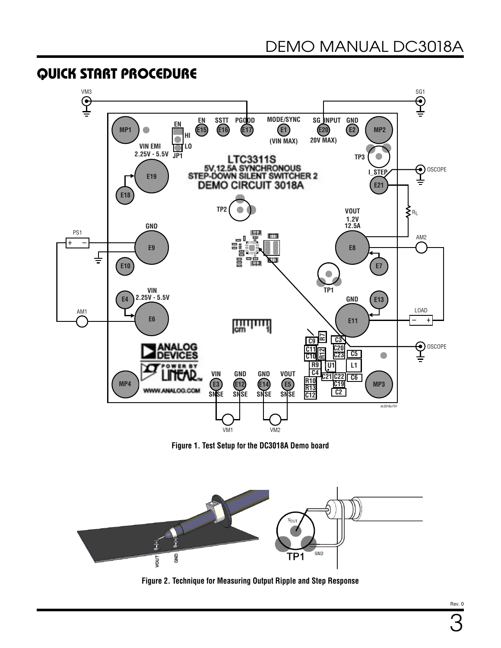### QUICK START PROCEDURE



<span id="page-2-0"></span>**Figure 1. Test Setup for the DC3018A Demo board**



<span id="page-2-1"></span>**Figure 2. Technique for Measuring Output Ripple and Step Response**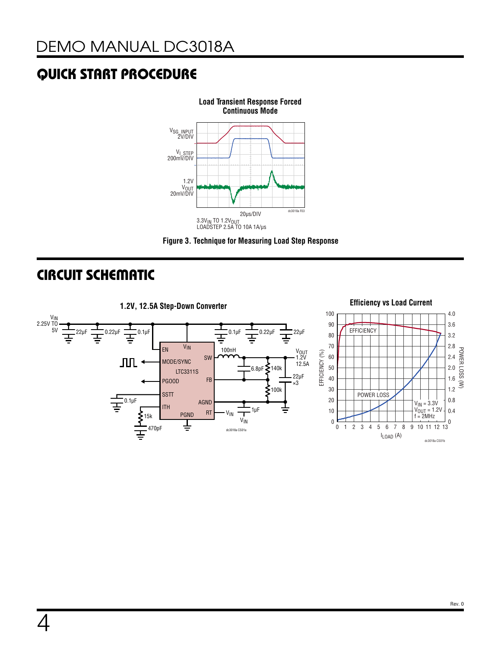# QUICK START PROCEDURE



<span id="page-3-0"></span>

## CIRCUIT SCHEMATIC

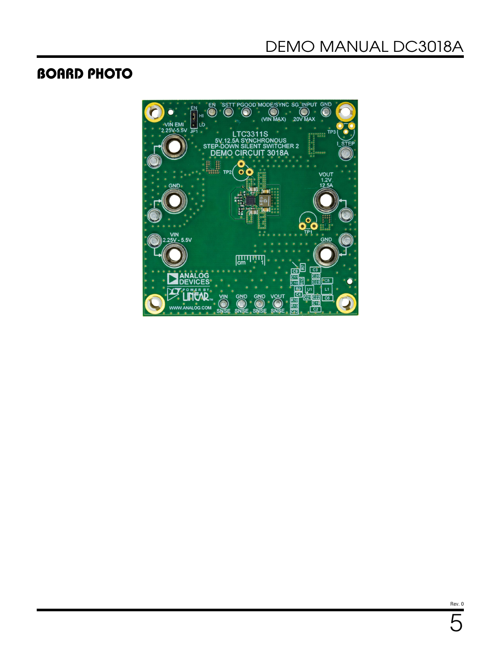## BOARD PHOTO



Rev. 0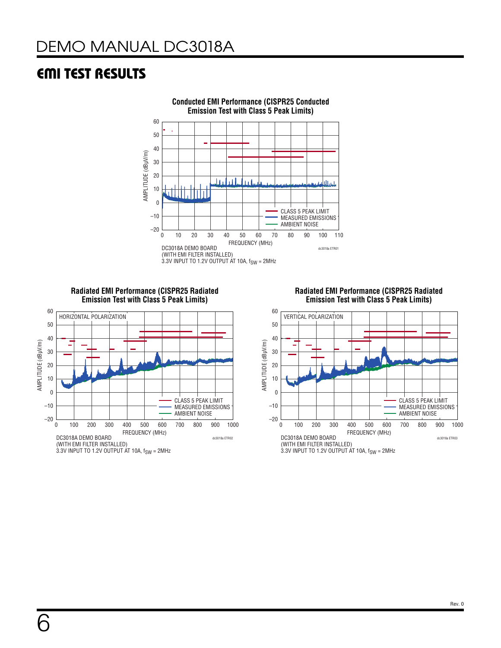## <span id="page-5-0"></span>EMI TEST RESULTS



**Radiated EMI Performance (CISPR25 Radiated Emission Test with Class 5 Peak Limits)** 



**Radiated EMI Performance (CISPR25 Radiated Emission Test with Class 5 Peak Limits)** 

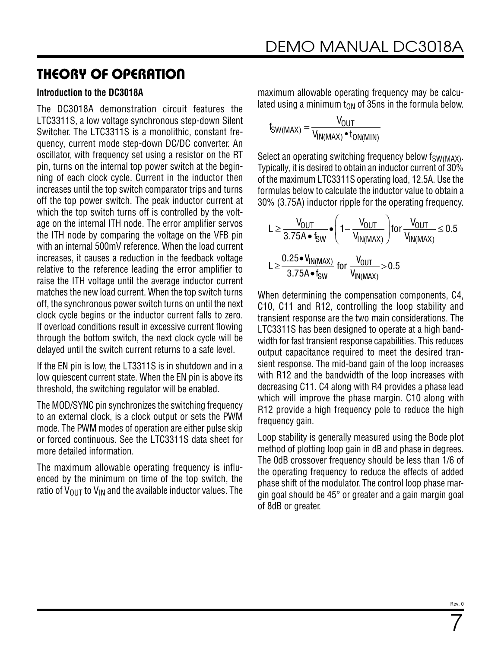### THEORY OF OPERATION

#### **Introduction to the DC3018A**

The DC3018A demonstration circuit features the LTC3311S, a low voltage synchronous step-down Silent Switcher. The LTC3311S is a monolithic, constant frequency, current mode step-down DC/DC converter. An oscillator, with frequency set using a resistor on the RT pin, turns on the internal top power switch at the beginning of each clock cycle. Current in the inductor then increases until the top switch comparator trips and turns off the top power switch. The peak inductor current at which the top switch turns off is controlled by the voltage on the internal ITH node. The error amplifier servos the ITH node by comparing the voltage on the VFB pin with an internal 500mV reference. When the load current increases, it causes a reduction in the feedback voltage relative to the reference leading the error amplifier to raise the ITH voltage until the average inductor current matches the new load current. When the top switch turns off, the synchronous power switch turns on until the next clock cycle begins or the inductor current falls to zero. If overload conditions result in excessive current flowing through the bottom switch, the next clock cycle will be delayed until the switch current returns to a safe level.

If the EN pin is low, the LT3311S is in shutdown and in a low quiescent current state. When the EN pin is above its threshold, the switching regulator will be enabled.

The MOD/SYNC pin synchronizes the switching frequency to an external clock, is a clock output or sets the PWM mode. The PWM modes of operation are either pulse skip or forced continuous. See the LTC3311S data sheet for more detailed information.

The maximum allowable operating frequency is influenced by the minimum on time of the top switch, the ratio of  $V_{\text{OUT}}$  to  $V_{\text{IN}}$  and the available inductor values. The maximum allowable operating frequency may be calculated using a minimum  $t_{ON}$  of 35ns in the formula below.

$$
t_{SW(MAX)} = \frac{V_{OUT}}{V_{IN(MAX)} \cdot t_{ON(MIN)}}
$$

Select an operating switching frequency below  $f_{SW(MAX)}$ . Typically, it is desired to obtain an inductor current of 30% of the maximum LTC3311S operating load, 12.5A. Use the formulas below to calculate the inductor value to obtain a 30% (3.75A) inductor ripple for the operating frequency.

$$
L \ge \frac{V_{OUT}}{3.75A \cdot f_{SW}} \cdot \left(1 - \frac{V_{OUT}}{V_{IN(MAX)}}\right) \text{ for } \frac{V_{OUT}}{V_{IN(MAX)}} \le 0.5
$$
  

$$
L \ge \frac{0.25 \cdot V_{IN(MAX)}}{3.75A \cdot f_{SW}} \text{ for } \frac{V_{OUT}}{V_{IN(MAX)}} > 0.5
$$

When determining the compensation components, C4, C10, C11 and R12, controlling the loop stability and transient response are the two main considerations. The LTC3311S has been designed to operate at a high bandwidth for fast transient response capabilities. This reduces output capacitance required to meet the desired transient response. The mid-band gain of the loop increases with R12 and the bandwidth of the loop increases with decreasing C11. C4 along with R4 provides a phase lead which will improve the phase margin. C10 along with R12 provide a high frequency pole to reduce the high frequency gain.

Loop stability is generally measured using the Bode plot method of plotting loop gain in dB and phase in degrees. The 0dB crossover frequency should be less than 1/6 of the operating frequency to reduce the effects of added phase shift of the modulator. The control loop phase margin goal should be 45° or greater and a gain margin goal of 8dB or greater.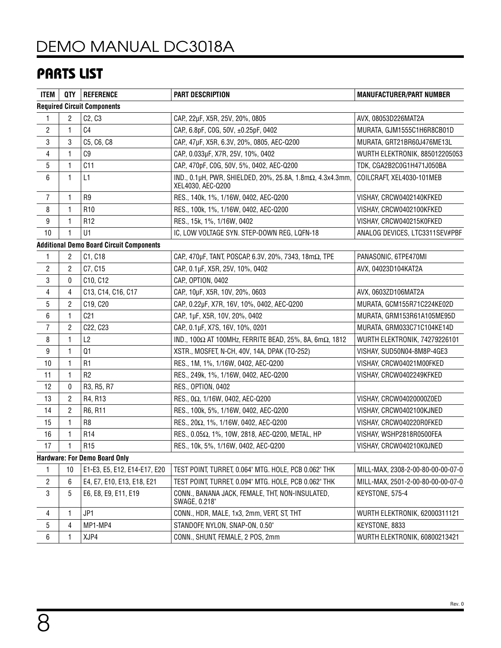# [DEMO MANUAL DC3018A](https://www.analog.com/DC3018A?doc=DC3018A.pdf)

## PARTS LIST

| <b>ITEM</b>      |                | QTY   REFERENCE                                 | <b>PART DESCRIPTION</b>                                                        | <b>MANUFACTURER/PART NUMBER</b>   |  |
|------------------|----------------|-------------------------------------------------|--------------------------------------------------------------------------------|-----------------------------------|--|
|                  |                | <b>Required Circuit Components</b>              |                                                                                |                                   |  |
| 1                | 2              | C <sub>2</sub> , C <sub>3</sub>                 | CAP., 22µF, X5R, 25V, 20%, 0805                                                | AVX, 08053D226MAT2A               |  |
| $\overline{2}$   | 1              | C <sub>4</sub>                                  | CAP, 6.8pF, COG, 50V, ±0.25pF, 0402<br>MURATA, GJM1555C1H6R8CB01D              |                                   |  |
| 3                | 3              | C5, C6, C8                                      | CAP., 47µF, X5R, 6.3V, 20%, 0805, AEC-Q200                                     | MURATA, GRT21BR60J476ME13L        |  |
| 4                | 1              | C <sub>9</sub>                                  | CAP, 0.033µF, X7R, 25V, 10%, 0402                                              | WURTH ELEKTRONIK, 885012205053    |  |
| 5                | 1              | C11                                             | CAP., 470pF, COG, 50V, 5%, 0402, AEC-Q200                                      | TDK, CGA2B2C0G1H471J050BA         |  |
| 6                | 1              | L1                                              | IND., 0.1μH, PWR, SHIELDED, 20%, 25.8A, 1.8mΩ, 4.3x4.3mm,<br>XEL4030, AEC-Q200 | COILCRAFT, XEL4030-101MEB         |  |
| $\overline{7}$   | 1              | R <sub>9</sub>                                  | RES., 140k, 1%, 1/16W, 0402, AEC-Q200                                          | VISHAY, CRCW0402140KFKED          |  |
| 8                | 1              | R <sub>10</sub>                                 | RES., 100k, 1%, 1/16W, 0402, AEC-Q200                                          | VISHAY, CRCW0402100KFKED          |  |
| $\boldsymbol{9}$ | 1              | R <sub>12</sub>                                 | RES., 15k, 1%, 1/16W, 0402                                                     | VISHAY, CRCW040215K0FKED          |  |
| 10               | 1              | U1                                              | IC, LOW VOLTAGE SYN. STEP-DOWN REG, LQFN-18                                    | ANALOG DEVICES, LTC3311SEV#PBF    |  |
|                  |                | <b>Additional Demo Board Circuit Components</b> |                                                                                |                                   |  |
| 1                | 2              | C1, C18                                         | CAP., 470μF, TANT, POSCAP, 6.3V, 20%, 7343, 18mΩ, TPE                          | PANASONIC, 6TPE470MI              |  |
| $\overline{2}$   | $\overline{2}$ | C7, C15                                         | CAP, 0.1µF, X5R, 25V, 10%, 0402                                                | AVX, 04023D104KAT2A               |  |
| 3                | 0              | C10, C12                                        | CAP., OPTION, 0402                                                             |                                   |  |
| 4                | 4              | C13, C14, C16, C17                              | CAP., 10µF, X5R, 10V, 20%, 0603                                                | AVX, 0603ZD106MAT2A               |  |
| 5                | 2              | C19, C20                                        | CAP., 0.22µF, X7R, 16V, 10%, 0402, AEC-Q200                                    | MURATA, GCM155R71C224KE02D        |  |
| 6                | 1              | C <sub>21</sub>                                 | CAP, 1µF, X5R, 10V, 20%, 0402                                                  | MURATA, GRM153R61A105ME95D        |  |
| $\overline{7}$   | $\overline{2}$ | C22, C23                                        | CAP., 0.1µF, X7S, 16V, 10%, 0201                                               | MURATA, GRM033C71C104KE14D        |  |
| 8                | 1              | L2                                              | IND., 100Ω AT 100MHz, FERRITE BEAD, 25%, 8A, 6mΩ, 1812                         | WURTH ELEKTRONIK, 74279226101     |  |
| 9                | 1              | Q1                                              | XSTR., MOSFET, N-CH, 40V, 14A, DPAK (TO-252)                                   | VISHAY, SUD50N04-8M8P-4GE3        |  |
| 10               | 1              | R <sub>1</sub>                                  | RES., 1M, 1%, 1/16W, 0402, AEC-Q200                                            | VISHAY, CRCW04021M00FKED          |  |
| 11               | 1              | R <sub>2</sub>                                  | RES., 249k, 1%, 1/16W, 0402, AEC-Q200                                          | VISHAY, CRCW0402249KFKED          |  |
| 12               | 0              | R3, R5, R7                                      | RES., OPTION, 0402                                                             |                                   |  |
| 13               | 2              | R4, R13                                         | RES., 0Ω, 1/16W, 0402, AEC-Q200                                                | VISHAY, CRCW04020000Z0ED          |  |
| 14               | $\overline{c}$ | R6, R11                                         | RES., 100k, 5%, 1/16W, 0402, AEC-Q200                                          | VISHAY, CRCW0402100KJNED          |  |
| 15               | 1              | R <sub>8</sub>                                  | RES., 20Ω, 1%, 1/16W, 0402, AEC-Q200                                           | VISHAY, CRCW040220R0FKED          |  |
| 16               | 1              | R <sub>14</sub>                                 | RES., 0.05Ω, 1%, 10W, 2818, AEC-Q200, METAL, HP                                | VISHAY, WSHP2818R0500FEA          |  |
| 17               | 1              | R <sub>15</sub>                                 | RES., 10k, 5%, 1/16W, 0402, AEC-Q200                                           | VISHAY, CRCW040210K0JNED          |  |
|                  |                | <b>Hardware: For Demo Board Only</b>            |                                                                                |                                   |  |
| 1                | 10             | E1-E3, E5, E12, E14-E17, E20                    | TEST POINT, TURRET, 0.064" MTG. HOLE, PCB 0.062" THK                           | MILL-MAX, 2308-2-00-80-00-00-07-0 |  |
| $\overline{c}$   | 6              | E4, E7, E10, E13, E18, E21                      | TEST POINT, TURRET, 0.094" MTG. HOLE, PCB 0.062" THK                           | MILL-MAX, 2501-2-00-80-00-00-07-0 |  |
| 3                | 5              | E6, E8, E9, E11, E19                            | CONN., BANANA JACK, FEMALE, THT, NON-INSULATED,<br>SWAGE, 0.218"               | KEYSTONE, 575-4                   |  |
| 4                | 1              | JP1                                             | CONN., HDR, MALE, 1x3, 2mm, VERT, ST, THT                                      | WURTH ELEKTRONIK, 62000311121     |  |
| 5                | 4              | MP1-MP4                                         | STANDOFF, NYLON, SNAP-ON, 0.50"                                                | KEYSTONE, 8833                    |  |
| 6                |                | XJP4                                            | CONN., SHUNT, FEMALE, 2 POS, 2mm                                               | WURTH ELEKTRONIK, 60800213421     |  |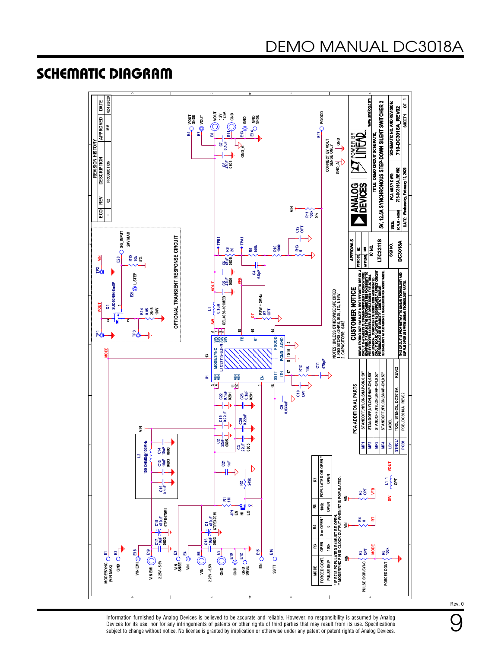### SCHEMATIC DIAGRAM



Information furnished by Analog Devices is believed to be accurate and reliable. However, no responsibility is assumed by Analog Devices for its use, nor for any infringements of patents or other rights of third parties that may result from its use. Specifications subject to change without notice. No license is granted by implication or otherwise under any patent or patent rights of Analog Devices.

Rev. 0